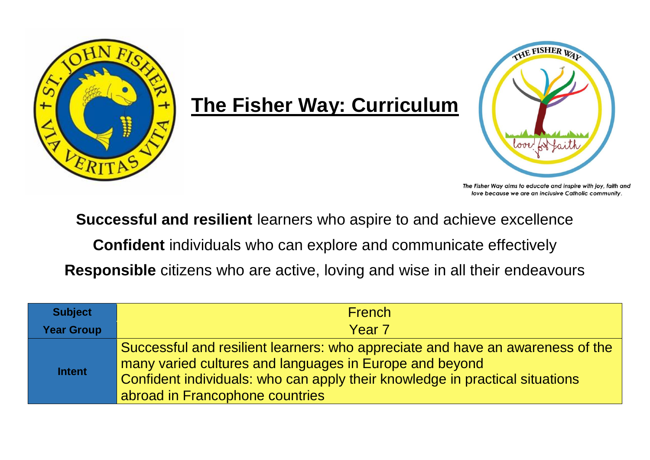

## **The Fisher Way: Curriculum**



The Fisher Way aims to educate and inspire with joy, faith and love because we are an inclusive Catholic community.

**Successful and resilient** learners who aspire to and achieve excellence

**Confident** individuals who can explore and communicate effectively

**Responsible** citizens who are active, loving and wise in all their endeavours

| <b>Subject</b>    | <b>French</b>                                                                                                                                                                                                                                                |
|-------------------|--------------------------------------------------------------------------------------------------------------------------------------------------------------------------------------------------------------------------------------------------------------|
| <b>Year Group</b> | Year 7                                                                                                                                                                                                                                                       |
| <b>Intent</b>     | Successful and resilient learners: who appreciate and have an awareness of the<br>many varied cultures and languages in Europe and beyond<br>Confident individuals: who can apply their knowledge in practical situations<br>abroad in Francophone countries |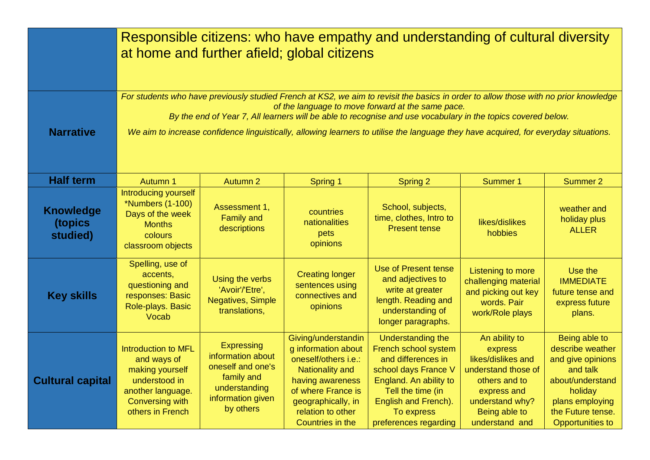|                                         | Responsible citizens: who have empathy and understanding of cultural diversity<br>at home and further afield; global citizens                                                                                                                                                                                                                                                                                                                     |                                                                                                                       |                                                                                                                                                                                                              |                                                                                                                                                                                                              |                                                                                                                                                             |                                                                                                                                                                      |  |  |  |
|-----------------------------------------|---------------------------------------------------------------------------------------------------------------------------------------------------------------------------------------------------------------------------------------------------------------------------------------------------------------------------------------------------------------------------------------------------------------------------------------------------|-----------------------------------------------------------------------------------------------------------------------|--------------------------------------------------------------------------------------------------------------------------------------------------------------------------------------------------------------|--------------------------------------------------------------------------------------------------------------------------------------------------------------------------------------------------------------|-------------------------------------------------------------------------------------------------------------------------------------------------------------|----------------------------------------------------------------------------------------------------------------------------------------------------------------------|--|--|--|
| <b>Narrative</b>                        | For students who have previously studied French at KS2, we aim to revisit the basics in order to allow those with no prior knowledge<br>of the language to move forward at the same pace.<br>By the end of Year 7, All learners will be able to recognise and use vocabulary in the topics covered below.<br>We aim to increase confidence linguistically, allowing learners to utilise the language they have acquired, for everyday situations. |                                                                                                                       |                                                                                                                                                                                                              |                                                                                                                                                                                                              |                                                                                                                                                             |                                                                                                                                                                      |  |  |  |
| <b>Half term</b>                        | Autumn 1                                                                                                                                                                                                                                                                                                                                                                                                                                          | <b>Autumn 2</b>                                                                                                       | Spring 1                                                                                                                                                                                                     | Spring 2                                                                                                                                                                                                     | <b>Summer 1</b>                                                                                                                                             | Summer 2                                                                                                                                                             |  |  |  |
| <b>Knowledge</b><br>(topics<br>studied) | Introducing yourself<br>*Numbers (1-100)<br>Days of the week<br><b>Months</b><br>colours<br>classroom objects                                                                                                                                                                                                                                                                                                                                     | Assessment 1,<br><b>Family and</b><br>descriptions                                                                    | countries<br>nationalities<br>pets<br>opinions                                                                                                                                                               | School, subjects,<br>time, clothes, Intro to<br><b>Present tense</b>                                                                                                                                         | likes/dislikes<br>hobbies                                                                                                                                   | weather and<br>holiday plus<br><b>ALLER</b>                                                                                                                          |  |  |  |
| <b>Key skills</b>                       | Spelling, use of<br>accents,<br>questioning and<br>responses: Basic<br>Role-plays. Basic<br>Vocab                                                                                                                                                                                                                                                                                                                                                 | Using the verbs<br>'Avoir'/'Etre',<br><b>Negatives, Simple</b><br>translations,                                       | <b>Creating longer</b><br>sentences using<br>connectives and<br>opinions                                                                                                                                     | <b>Use of Present tense</b><br>and adjectives to<br>write at greater<br>length. Reading and<br>understanding of<br>longer paragraphs.                                                                        | Listening to more<br>challenging material<br>and picking out key<br>words. Pair<br>work/Role plays                                                          | Use the<br><b>IMMEDIATE</b><br>future tense and<br>express future<br>plans.                                                                                          |  |  |  |
| <b>Cultural capital</b>                 | <b>Introduction to MFL</b><br>and ways of<br>making yourself<br>understood in<br>another language.<br><b>Conversing with</b><br>others in French                                                                                                                                                                                                                                                                                                  | Expressing<br>information about<br>oneself and one's<br>family and<br>understanding<br>information given<br>by others | Giving/understandin<br>g information about<br>oneself/others i.e.:<br><b>Nationality and</b><br>having awareness<br>of where France is<br>geographically, in<br>relation to other<br><b>Countries in the</b> | <b>Understanding the</b><br>French school system<br>and differences in<br>school days France V<br>England. An ability to<br>Tell the time (in<br>English and French).<br>To express<br>preferences regarding | An ability to<br>express<br>likes/dislikes and<br>understand those of<br>others and to<br>express and<br>understand why?<br>Being able to<br>understand and | Being able to<br>describe weather<br>and give opinions<br>and talk<br>about/understand<br>holiday<br>plans employing<br>the Future tense.<br><b>Opportunities to</b> |  |  |  |